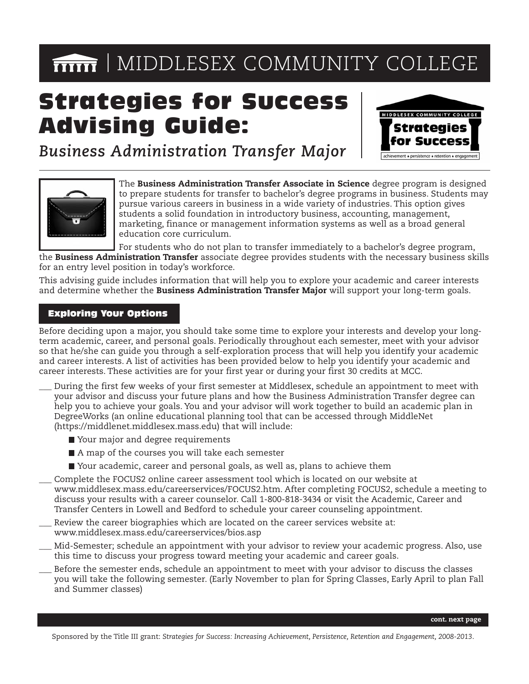# **MIDDLESEX COMMUNITY COLLEGE**

# Strategies for Success Advising Guide:



*Business Administration Transfer Major*



The **Business Administration Transfer Associate in Science** degree program is designed to prepare students for transfer to bachelor's degree programs in business. Students may pursue various careers in business in a wide variety of industries. This option gives students a solid foundation in introductory business, accounting, management, marketing, finance or management information systems as well as a broad general education core curriculum.

For students who do not plan to transfer immediately to a bachelor's degree program, the **Business Administration Transfer** associate degree provides students with the necessary business skills for an entry level position in today's workforce.

This advising guide includes information that will help you to explore your academic and career interests and determine whether the **Business Administration Transfer Major** will support your long-term goals.

### Exploring Your Options

Before deciding upon a major, you should take some time to explore your interests and develop your longterm academic, career, and personal goals. Periodically throughout each semester, meet with your advisor so that he/she can guide you through a self-exploration process that will help you identify your academic and career interests. A list of activities has been provided below to help you identify your academic and career interests. These activities are for your first year or during your first 30 credits at MCC.

- \_\_\_ During the first few weeks of your first semester at Middlesex, schedule an appointment to meet with your advisor and discuss your future plans and how the Business Administration Transfer degree can help you to achieve your goals. You and your advisor will work together to build an academic plan in DegreeWorks (an online educational planning tool that can be accessed through MiddleNet (https://middlenet.middlesex.mass.edu) that will include:
	- Your major and degree requirements
	- A map of the courses you will take each semester
	- Your academic, career and personal goals, as well as, plans to achieve them
- Complete the FOCUS2 online career assessment tool which is located on our website at www.middlesex.mass.edu/careerservices/FOCUS2.htm. After completing FOCUS2, schedule a meeting to discuss your results with a career counselor. Call 1-800-818-3434 or visit the Academic, Career and Transfer Centers in Lowell and Bedford to schedule your career counseling appointment.
- Review the career biographies which are located on the career services website at: www.middlesex.mass.edu/careerservices/bios.asp
- Mid-Semester; schedule an appointment with your advisor to review your academic progress. Also, use this time to discuss your progress toward meeting your academic and career goals.
- Before the semester ends, schedule an appointment to meet with your advisor to discuss the classes you will take the following semester. (Early November to plan for Spring Classes, Early April to plan Fall and Summer classes)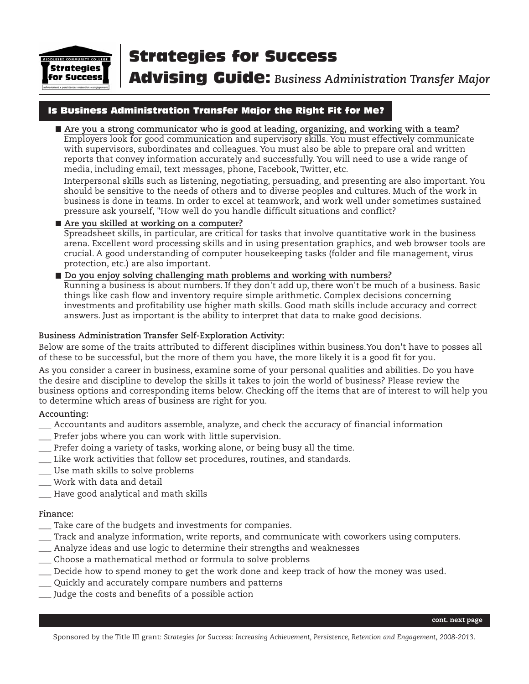

Advising Guide: *Business Administration Transfer Major*

### Is Business Administration Transfer Major the Right Fit for Me?

**Are you a strong communicator who is good at leading, organizing, and working with a team?** Employers look for good communication and supervisory skills. You must effectively communicate with supervisors, subordinates and colleagues. You must also be able to prepare oral and written reports that convey information accurately and successfully. You will need to use a wide range of media, including email, text messages, phone, Facebook, Twitter, etc.

Interpersonal skills such as listening, negotiating, persuading, and presenting are also important. You should be sensitive to the needs of others and to diverse peoples and cultures. Much of the work in business is done in teams. In order to excel at teamwork, and work well under sometimes sustained pressure ask yourself, "How well do you handle difficult situations and conflict?

#### **Are you skilled at working on a computer?**

Spreadsheet skills, in particular, are critical for tasks that involve quantitative work in the business arena. Excellent word processing skills and in using presentation graphics, and web browser tools are crucial. A good understanding of computer housekeeping tasks (folder and file management, virus protection, etc.) are also important.

#### **Do you enjoy solving challenging math problems and working with numbers?**

Running a business is about numbers. If they don't add up, there won't be much of a business. Basic things like cash flow and inventory require simple arithmetic. Complex decisions concerning investments and profitability use higher math skills. Good math skills include accuracy and correct answers. Just as important is the ability to interpret that data to make good decisions.

#### **Business Administration Transfer Self-Exploration Activity:**

Below are some of the traits attributed to different disciplines within business.You don't have to posses all of these to be successful, but the more of them you have, the more likely it is a good fit for you.

As you consider a career in business, examine some of your personal qualities and abilities. Do you have the desire and discipline to develop the skills it takes to join the world of business? Please review the business options and corresponding items below. Checking off the items that are of interest to will help you to determine which areas of business are right for you.

#### **Accounting:**

- \_\_\_ Accountants and auditors assemble, analyze, and check the accuracy of financial information
- \_\_\_ Prefer jobs where you can work with little supervision.
- Prefer doing a variety of tasks, working alone, or being busy all the time.
- \_\_\_ Like work activities that follow set procedures, routines, and standards.
- \_\_\_ Use math skills to solve problems
- \_\_\_ Work with data and detail
- \_\_\_ Have good analytical and math skills

#### **Finance:**

- Take care of the budgets and investments for companies.
- \_\_\_ Track and analyze information, write reports, and communicate with coworkers using computers.
- \_\_\_ Analyze ideas and use logic to determine their strengths and weaknesses
- \_\_\_ Choose a mathematical method or formula to solve problems
- \_\_\_ Decide how to spend money to get the work done and keep track of how the money was used.
- \_\_\_ Quickly and accurately compare numbers and patterns
- \_\_\_ Judge the costs and benefits of a possible action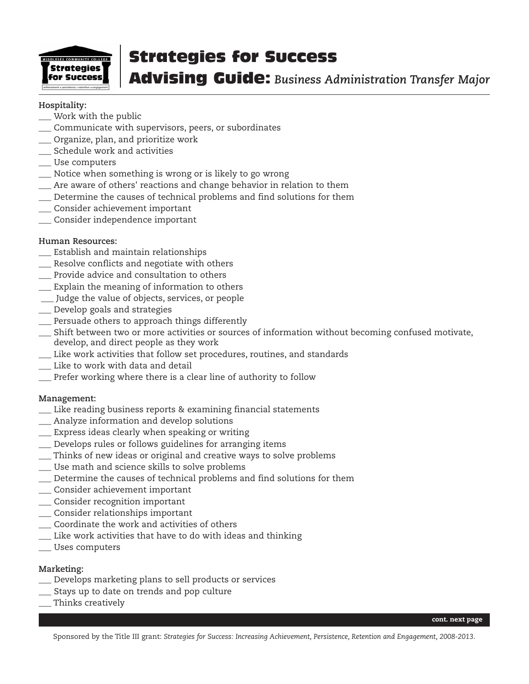

Advising Guide: *Business Administration Transfer Major*

#### **Hospitality:**

- \_\_\_ Work with the public
- \_\_\_ Communicate with supervisors, peers, or subordinates
- \_\_\_ Organize, plan, and prioritize work
- \_\_\_ Schedule work and activities
- \_\_\_ Use computers
- \_\_\_ Notice when something is wrong or is likely to go wrong
- \_\_\_ Are aware of others' reactions and change behavior in relation to them
- \_\_\_ Determine the causes of technical problems and find solutions for them
- \_\_\_ Consider achievement important
- \_\_\_ Consider independence important

#### **Human Resources:**

- \_\_\_ Establish and maintain relationships
- \_\_\_ Resolve conflicts and negotiate with others
- \_\_\_ Provide advice and consultation to others
- \_\_\_ Explain the meaning of information to others
- \_\_\_ Judge the value of objects, services, or people
- \_\_\_ Develop goals and strategies
- \_\_\_ Persuade others to approach things differently
- \_\_\_ Shift between two or more activities or sources of information without becoming confused motivate, develop, and direct people as they work
- \_\_\_ Like work activities that follow set procedures, routines, and standards
- \_\_\_ Like to work with data and detail
- \_\_\_ Prefer working where there is a clear line of authority to follow

#### **Management:**

- \_\_\_ Like reading business reports & examining financial statements
- \_\_\_ Analyze information and develop solutions
- \_\_\_ Express ideas clearly when speaking or writing
- \_\_\_ Develops rules or follows guidelines for arranging items
- \_\_\_ Thinks of new ideas or original and creative ways to solve problems
- \_\_\_ Use math and science skills to solve problems
- \_\_\_ Determine the causes of technical problems and find solutions for them
- \_\_\_ Consider achievement important
- \_\_\_ Consider recognition important
- \_\_\_ Consider relationships important
- \_\_\_ Coordinate the work and activities of others
- \_\_\_ Like work activities that have to do with ideas and thinking
- \_\_\_ Uses computers

#### **Marketing:**

- \_\_\_ Develops marketing plans to sell products or services
- \_\_\_ Stays up to date on trends and pop culture
- \_\_\_ Thinks creatively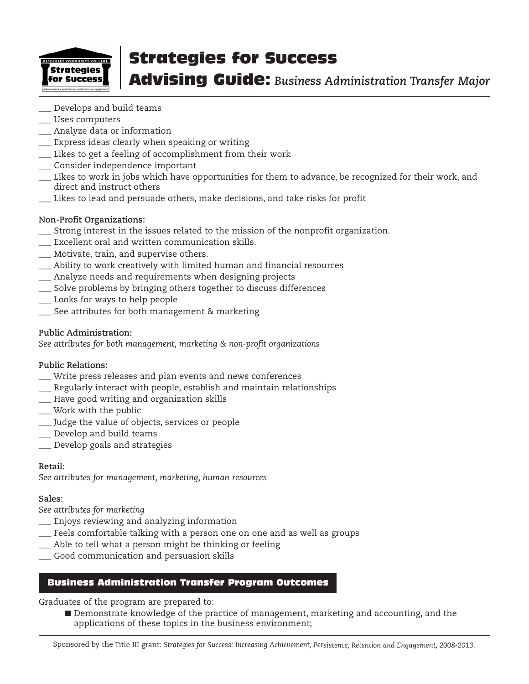

Advising Guide: *Business Administration Transfer Major*

- \_\_\_ Develops and build teams
- \_\_\_ Uses computers
- \_\_\_ Analyze data or information
- \_\_\_ Express ideas clearly when speaking or writing
- \_\_\_ Likes to get a feeling of accomplishment from their work
- \_\_\_ Consider independence important
- \_\_\_ Likes to work in jobs which have opportunities for them to advance, be recognized for their work, and direct and instruct others
- \_\_\_ Likes to lead and persuade others, make decisions, and take risks for profit

#### **Non-Profit Organizations:**

- \_\_\_ Strong interest in the issues related to the mission of the nonprofit organization.
- \_\_\_ Excellent oral and written communication skills.
- \_\_\_ Motivate, train, and supervise others.
- \_\_\_ Ability to work creatively with limited human and financial resources
- \_\_\_ Analyze needs and requirements when designing projects
- \_\_\_ Solve problems by bringing others together to discuss differences
- \_\_\_ Looks for ways to help people
- \_\_\_ See attributes for both management & marketing

#### **Public Administration:**

*See attributes for both management, marketing & non-profit organizations*

#### **Public Relations:**

- \_\_\_ Write press releases and plan events and news conferences
- \_\_\_ Regularly interact with people, establish and maintain relationships
- \_\_\_ Have good writing and organization skills
- \_\_\_ Work with the public
- \_\_\_ Judge the value of objects, services or people
- \_\_\_ Develop and build teams
- \_\_\_ Develop goals and strategies

#### **Retail:**

*See attributes for management, marketing, human resources*

#### **Sales:**

*See attributes for marketing*

- \_\_\_ Enjoys reviewing and analyzing information
- \_\_\_ Feels comfortable talking with a person one on one and as well as groups
- \_\_\_ Able to tell what a person might be thinking or feeling
- Good communication and persuasion skills

#### Business Administration Transfer Program Outcomes

Graduates of the program are prepared to:

Demonstrate knowledge of the practice of management, marketing and accounting, and the applications of these topics in the business environment;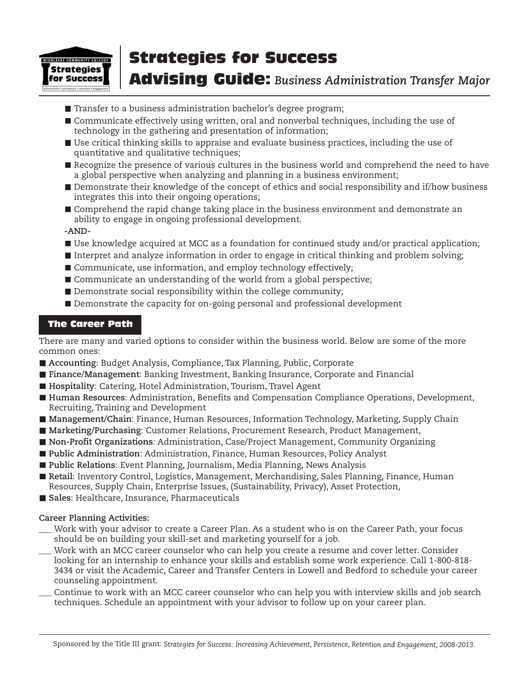

# Advising Guide: *Business Administration Transfer Major*

- Transfer to a business administration bachelor's degree program;
- Communicate effectively using written, oral and nonverbal techniques, including the use of technology in the gathering and presentation of information;
- Use critical thinking skills to appraise and evaluate business practices, including the use of quantitative and qualitative techniques;
- Recognize the presence of various cultures in the business world and comprehend the need to have a global perspective when analyzing and planning in a business environment;
- Demonstrate their knowledge of the concept of ethics and social responsibility and if/how business integrates this into their ongoing operations;
- Comprehend the rapid change taking place in the business environment and demonstrate an ability to engage in ongoing professional development.

**-AND-**

- Use knowledge acquired at MCC as a foundation for continued study and/or practical application;
- Interpret and analyze information in order to engage in critical thinking and problem solving;
- Communicate, use information, and employ technology effectively;
- Communicate an understanding of the world from a global perspective;
- Demonstrate social responsibility within the college community;
- Demonstrate the capacity for on-going personal and professional development

#### The Career Path

There are many and varied options to consider within the business world. Below are some of the more common ones:

- **Accounting**: Budget Analysis, Compliance, Tax Planning, Public, Corporate
- **Finance/Management**: Banking Investment, Banking Insurance, Corporate and Financial
- Hospitality: Catering, Hotel Administration, Tourism, Travel Agent
- **Human Resources**: Administration, Benefits and Compensation Compliance Operations, Development, Recruiting, Training and Development
- **Management/Chain**: Finance, Human Resources, Information Technology, Marketing, Supply Chain
- **Marketing/Purchasing**: Customer Relations, Procurement Research, Product Management,
- **Non-Profit Organizations**: Administration, Case/Project Management, Community Organizing
- **Public Administration**: Administration, Finance, Human Resources, Policy Analyst
- **Public Relations**: Event Planning, Journalism, Media Planning, News Analysis
- **Retail**: Inventory Control, Logistics, Management, Merchandising, Sales Planning, Finance, Human Resources, Supply Chain, Enterprise Issues, (Sustainability, Privacy), Asset Protection,
- **Sales**: Healthcare, Insurance, Pharmaceuticals

#### **Career Planning Activities:**

- Work with your advisor to create a Career Plan. As a student who is on the Career Path, your focus should be on building your skill-set and marketing yourself for a job.
- Work with an MCC career counselor who can help you create a resume and cover letter. Consider looking for an internship to enhance your skills and establish some work experience. Call 1-800-818- 3434 or visit the Academic, Career and Transfer Centers in Lowell and Bedford to schedule your career counseling appointment.
- Continue to work with an MCC career counselor who can help you with interview skills and job search techniques. Schedule an appointment with your advisor to follow up on your career plan.